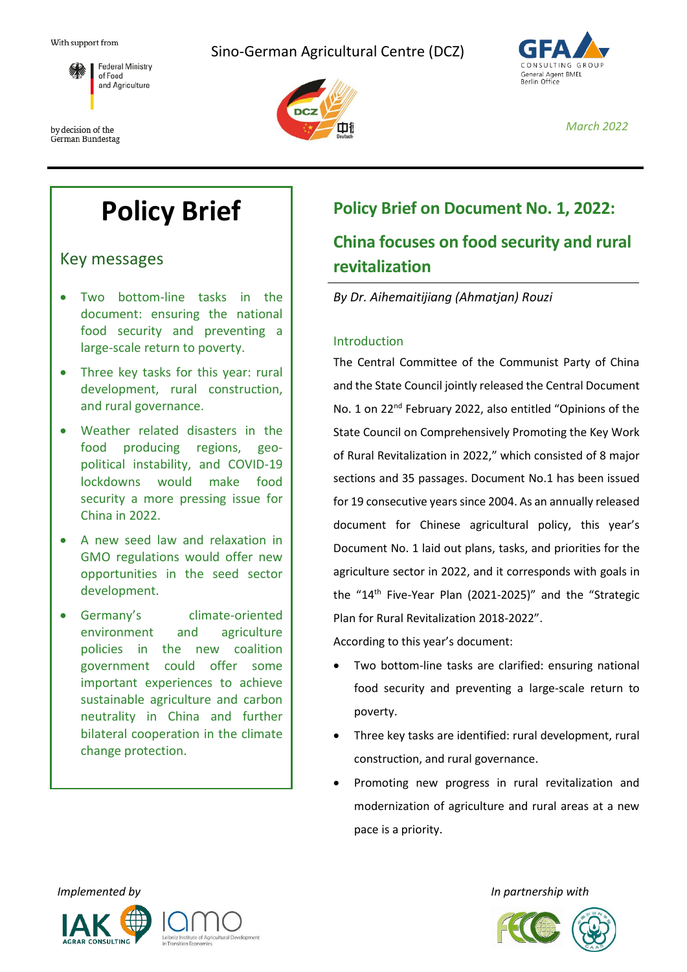With support from

by decision of the German Bundestag

**Federal Ministry** 

of Food and Agriculture







*March 2022*

# **Policy Brief**

Key messages

- Two bottom-line tasks in the document: ensuring the national food security and preventing a large-scale return to poverty.
- Three key tasks for this year: rural development, rural construction, and rural governance.
- Weather related disasters in the food producing regions, geopolitical instability, and COVID-19 lockdowns would make food security a more pressing issue for China in 2022.
- A new seed law and relaxation in GMO regulations would offer new opportunities in the seed sector development.
- Germany's climate-oriented environment and agriculture policies in the new coalition government could offer some important experiences to achieve sustainable agriculture and carbon neutrality in China and further bilateral cooperation in the climate change protection.

# **Policy Brief on Document No. 1, 2022: China focuses on food security and rural revitalization**

# *By Dr. Aihemaitijiang (Ahmatjan) Rouzi*

### Introduction

The Central Committee of the Communist Party of China and the State Council jointly released the Central Document No. 1 on 22nd February 2022, also entitled "Opinions of the State Council on Comprehensively Promoting the Key Work of Rural Revitalization in 2022," which consisted of 8 major sections and 35 passages. Document No.1 has been issued for 19 consecutive years since 2004. As an annually released document for Chinese agricultural policy, this year's Document No. 1 laid out plans, tasks, and priorities for the agriculture sector in 2022, and it corresponds with goals in the "14<sup>th</sup> Five-Year Plan (2021-2025)" and the "Strategic Plan for Rural Revitalization 2018-2022".

According to this year's document:

- Two bottom-line tasks are clarified: ensuring national food security and preventing a large-scale return to poverty.
- Three key tasks are identified: rural development, rural construction, and rural governance.
- Promoting new progress in rural revitalization and modernization of agriculture and rural areas at a new pace is a priority.



*Implemented by In partnership with*

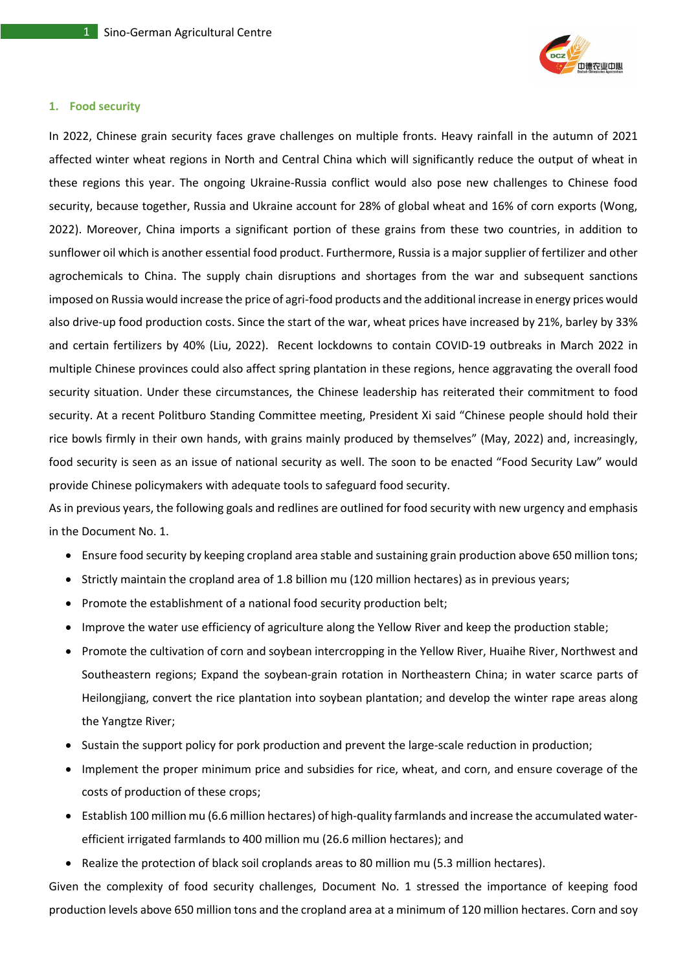

#### **1. Food security**

In 2022, Chinese grain security faces grave challenges on multiple fronts. Heavy rainfall in the autumn of 2021 affected winter wheat regions in North and Central China which will significantly reduce the output of wheat in these regions this year. The ongoing Ukraine-Russia conflict would also pose new challenges to Chinese food security, because together, Russia and Ukraine account for 28% of global wheat and 16% of corn exports (Wong, 2022). Moreover, China imports a significant portion of these grains from these two countries, in addition to sunflower oil which is another essential food product. Furthermore, Russia is a major supplier of fertilizer and other agrochemicals to China. The supply chain disruptions and shortages from the war and subsequent sanctions imposed on Russia would increase the price of agri-food products and the additional increase in energy prices would also drive-up food production costs. Since the start of the war, wheat prices have increased by 21%, barley by 33% and certain fertilizers by 40% (Liu, 2022). Recent lockdowns to contain COVID-19 outbreaks in March 2022 in multiple Chinese provinces could also affect spring plantation in these regions, hence aggravating the overall food security situation. Under these circumstances, the Chinese leadership has reiterated their commitment to food security. At a recent Politburo Standing Committee meeting, President Xi said "Chinese people should hold their rice bowls firmly in their own hands, with grains mainly produced by themselves" (May, 2022) and, increasingly, food security is seen as an issue of national security as well. The soon to be enacted "Food Security Law" would provide Chinese policymakers with adequate tools to safeguard food security.

As in previous years, the following goals and redlines are outlined for food security with new urgency and emphasis in the Document No. 1.

- Ensure food security by keeping cropland area stable and sustaining grain production above 650 million tons;
- Strictly maintain the cropland area of 1.8 billion mu (120 million hectares) as in previous years;
- Promote the establishment of a national food security production belt;
- Improve the water use efficiency of agriculture along the Yellow River and keep the production stable;
- Promote the cultivation of corn and soybean intercropping in the Yellow River, Huaihe River, Northwest and Southeastern regions; Expand the soybean-grain rotation in Northeastern China; in water scarce parts of Heilongjiang, convert the rice plantation into soybean plantation; and develop the winter rape areas along the Yangtze River;
- Sustain the support policy for pork production and prevent the large-scale reduction in production;
- Implement the proper minimum price and subsidies for rice, wheat, and corn, and ensure coverage of the costs of production of these crops;
- Establish 100 million mu (6.6 million hectares) of high-quality farmlands and increase the accumulated waterefficient irrigated farmlands to 400 million mu (26.6 million hectares); and
- Realize the protection of black soil croplands areas to 80 million mu (5.3 million hectares).

Given the complexity of food security challenges, Document No. 1 stressed the importance of keeping food production levels above 650 million tons and the cropland area at a minimum of 120 million hectares. Corn and soy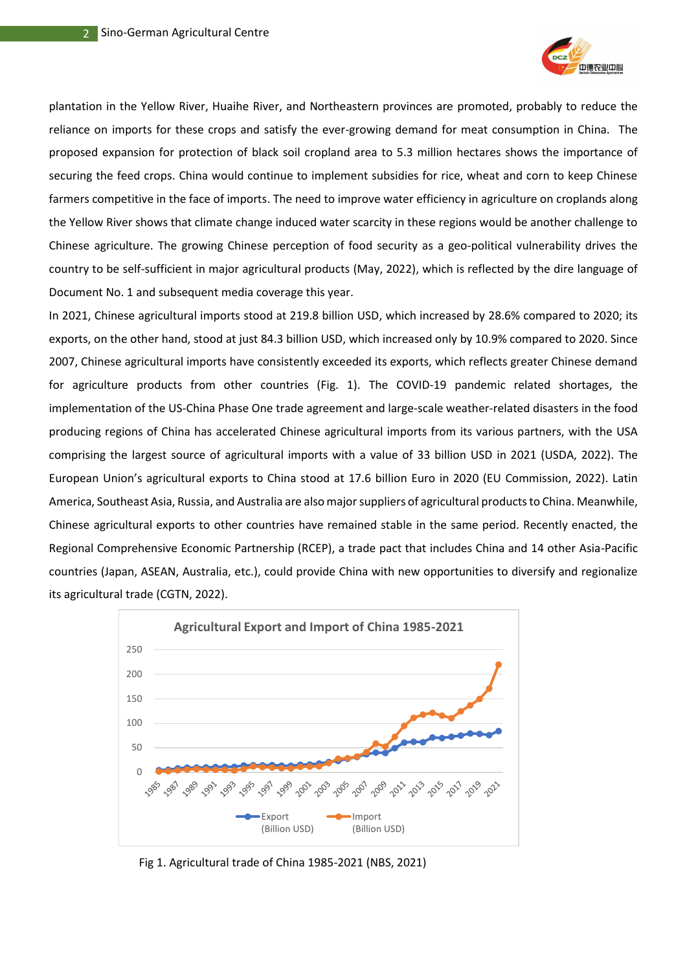

plantation in the Yellow River, Huaihe River, and Northeastern provinces are promoted, probably to reduce the reliance on imports for these crops and satisfy the ever-growing demand for meat consumption in China. The proposed expansion for protection of black soil cropland area to 5.3 million hectares shows the importance of securing the feed crops. China would continue to implement subsidies for rice, wheat and corn to keep Chinese farmers competitive in the face of imports. The need to improve water efficiency in agriculture on croplands along the Yellow River shows that climate change induced water scarcity in these regions would be another challenge to Chinese agriculture. The growing Chinese perception of food security as a geo-political vulnerability drives the country to be self-sufficient in major agricultural products (May, 2022), which is reflected by the dire language of Document No. 1 and subsequent media coverage this year.

In 2021, Chinese agricultural imports stood at 219.8 billion USD, which increased by 28.6% compared to 2020; its exports, on the other hand, stood at just 84.3 billion USD, which increased only by 10.9% compared to 2020. Since 2007, Chinese agricultural imports have consistently exceeded its exports, which reflects greater Chinese demand for agriculture products from other countries (Fig. 1). The COVID-19 pandemic related shortages, the implementation of the US-China Phase One trade agreement and large-scale weather-related disasters in the food producing regions of China has accelerated Chinese agricultural imports from its various partners, with the USA comprising the largest source of agricultural imports with a value of 33 billion USD in 2021 (USDA, 2022). The European Union's agricultural exports to China stood at 17.6 billion Euro in 2020 (EU Commission, 2022). Latin America, Southeast Asia, Russia, and Australia are also major suppliers of agricultural products to China. Meanwhile, Chinese agricultural exports to other countries have remained stable in the same period. Recently enacted, the Regional Comprehensive Economic Partnership (RCEP), a trade pact that includes China and 14 other Asia-Pacific countries (Japan, ASEAN, Australia, etc.), could provide China with new opportunities to diversify and regionalize its agricultural trade (CGTN, 2022).



Fig 1. Agricultural trade of China 1985-2021 (NBS, 2021)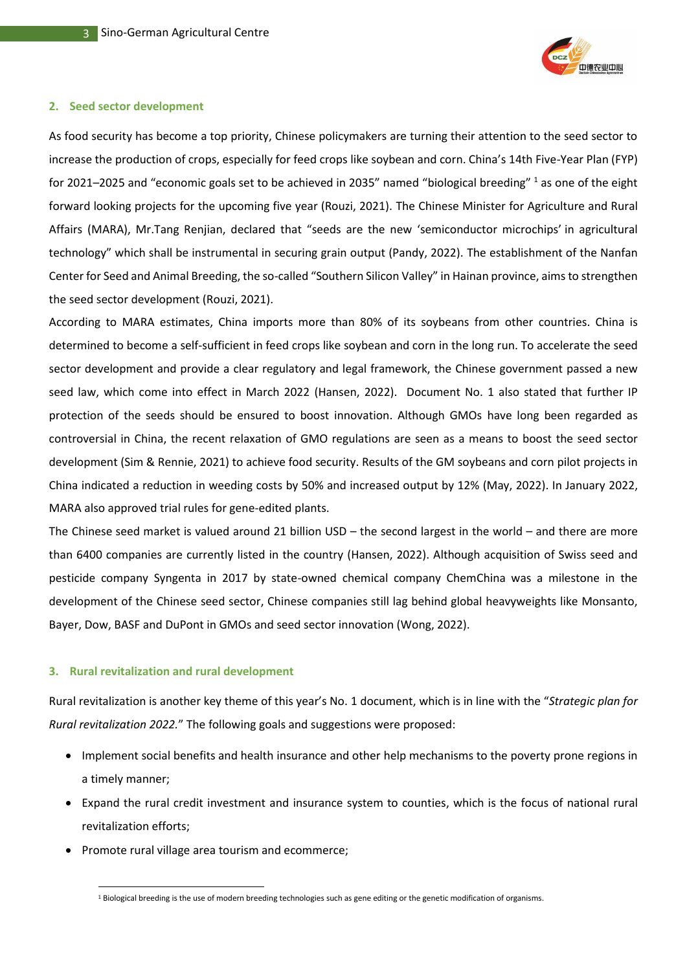

#### **2. Seed sector development**

As food security has become a top priority, Chinese policymakers are turning their attention to the seed sector to increase the production of crops, especially for feed crops like soybean and corn. China's 14th Five-Year Plan (FYP) for 2021–2025 and "economic goals set to be achieved in 2035" named "biological breeding" <sup>1</sup> as one of the eight forward looking projects for the upcoming five year (Rouzi, 2021). The Chinese Minister for Agriculture and Rural Affairs (MARA), Mr.Tang Renjian, declared that "seeds are the new 'semiconductor microchips' in agricultural technology" which shall be instrumental in securing grain output (Pandy, 2022). The establishment of the Nanfan Center for Seed and Animal Breeding, the so-called "Southern Silicon Valley" in Hainan province, aims to strengthen the seed sector development (Rouzi, 2021).

According to MARA estimates, China imports more than 80% of its soybeans from other countries. China is determined to become a self-sufficient in feed crops like soybean and corn in the long run. To accelerate the seed sector development and provide a clear regulatory and legal framework, the Chinese government passed a new seed law, which come into effect in March 2022 (Hansen, 2022). Document No. 1 also stated that further IP protection of the seeds should be ensured to boost innovation. Although GMOs have long been regarded as controversial in China, the recent relaxation of GMO regulations are seen as a means to boost the seed sector development (Sim & Rennie, 2021) to achieve food security. Results of the GM soybeans and corn pilot projects in China indicated a reduction in weeding costs by 50% and increased output by 12% (May, 2022). In January 2022, MARA also approved trial rules for gene-edited plants.

The Chinese seed market is valued around 21 billion USD – the second largest in the world – and there are more than 6400 companies are currently listed in the country (Hansen, 2022). Although acquisition of Swiss seed and pesticide company Syngenta in 2017 by state-owned chemical company ChemChina was a milestone in the development of the Chinese seed sector, Chinese companies still lag behind global heavyweights like Monsanto, Bayer, Dow, BASF and DuPont in GMOs and seed sector innovation (Wong, 2022).

#### **3. Rural revitalization and rural development**

Rural revitalization is another key theme of this year's No. 1 document, which is in line with the "*Strategic plan for Rural revitalization 2022.*" The following goals and suggestions were proposed:

- Implement social benefits and health insurance and other help mechanisms to the poverty prone regions in a timely manner;
- Expand the rural credit investment and insurance system to counties, which is the focus of national rural revitalization efforts;
- Promote rural village area tourism and ecommerce;

<sup>1</sup> Biological breeding is the use of modern breeding technologies such as gene editing or the genetic modification of organisms.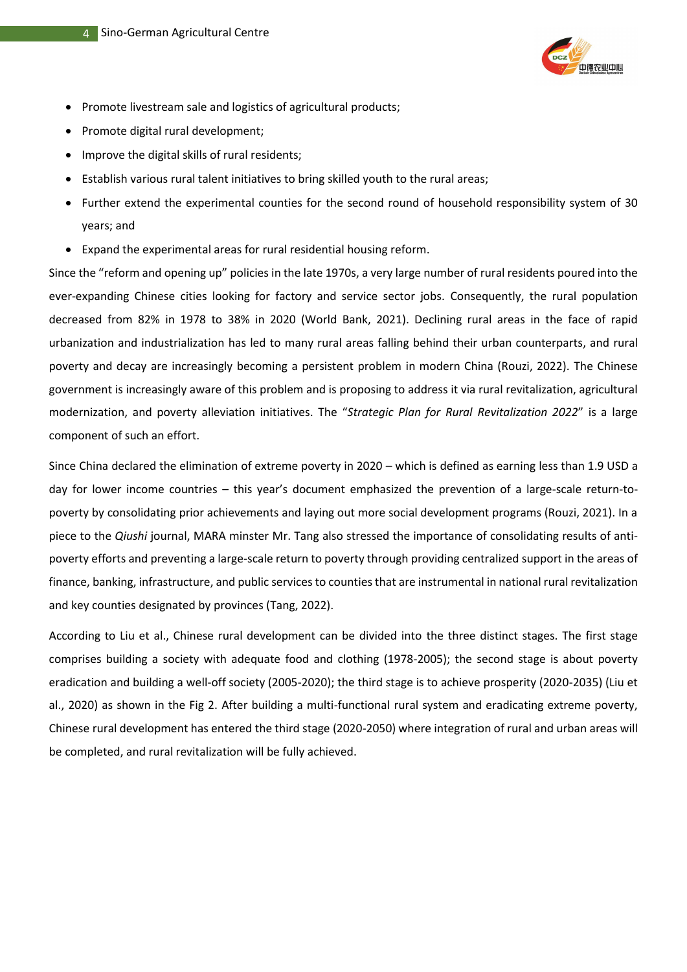

- Promote livestream sale and logistics of agricultural products;
- Promote digital rural development;
- Improve the digital skills of rural residents;
- Establish various rural talent initiatives to bring skilled youth to the rural areas;
- Further extend the experimental counties for the second round of household responsibility system of 30 years; and
- Expand the experimental areas for rural residential housing reform.

Since the "reform and opening up" policies in the late 1970s, a very large number of rural residents poured into the ever-expanding Chinese cities looking for factory and service sector jobs. Consequently, the rural population decreased from 82% in 1978 to 38% in 2020 (World Bank, 2021). Declining rural areas in the face of rapid urbanization and industrialization has led to many rural areas falling behind their urban counterparts, and rural poverty and decay are increasingly becoming a persistent problem in modern China (Rouzi, 2022). The Chinese government is increasingly aware of this problem and is proposing to address it via rural revitalization, agricultural modernization, and poverty alleviation initiatives. The "*Strategic Plan for Rural Revitalization 2022*" is a large component of such an effort.

Since China declared the elimination of extreme poverty in 2020 – which is defined as earning less than 1.9 USD a day for lower income countries – this year's document emphasized the prevention of a large-scale return-topoverty by consolidating prior achievements and laying out more social development programs (Rouzi, 2021). In a piece to the *Qiushi* journal, MARA minster Mr. Tang also stressed the importance of consolidating results of antipoverty efforts and preventing a large-scale return to poverty through providing centralized support in the areas of finance, banking, infrastructure, and public services to counties that are instrumental in national rural revitalization and key counties designated by provinces (Tang, 2022).

According to Liu et al., Chinese rural development can be divided into the three distinct stages. The first stage comprises building a society with adequate food and clothing (1978-2005); the second stage is about poverty eradication and building a well-off society (2005-2020); the third stage is to achieve prosperity (2020-2035) (Liu et al., 2020) as shown in the Fig 2. After building a multi-functional rural system and eradicating extreme poverty, Chinese rural development has entered the third stage (2020-2050) where integration of rural and urban areas will be completed, and rural revitalization will be fully achieved.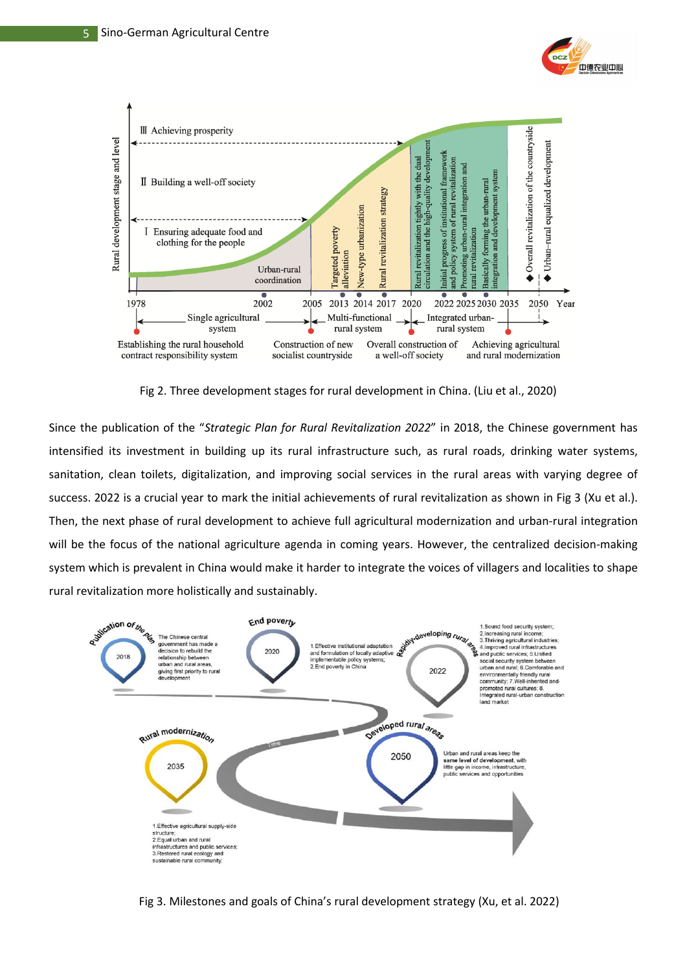



Fig 2. Three development stages for rural development in China. (Liu et al., 2020)

Since the publication of the "*Strategic Plan for Rural Revitalization 2022*" in 2018, the Chinese government has intensified its investment in building up its rural infrastructure such, as rural roads, drinking water systems, sanitation, clean toilets, digitalization, and improving social services in the rural areas with varying degree of success. 2022 is a crucial year to mark the initial achievements of rural revitalization as shown in Fig 3 (Xu et al.). Then, the next phase of rural development to achieve full agricultural modernization and urban-rural integration will be the focus of the national agriculture agenda in coming years. However, the centralized decision-making system which is prevalent in China would make it harder to integrate the voices of villagers and localities to shape rural revitalization more holistically and sustainably.



Fig 3. Milestones and goals of China's rural development strategy (Xu, et al. 2022)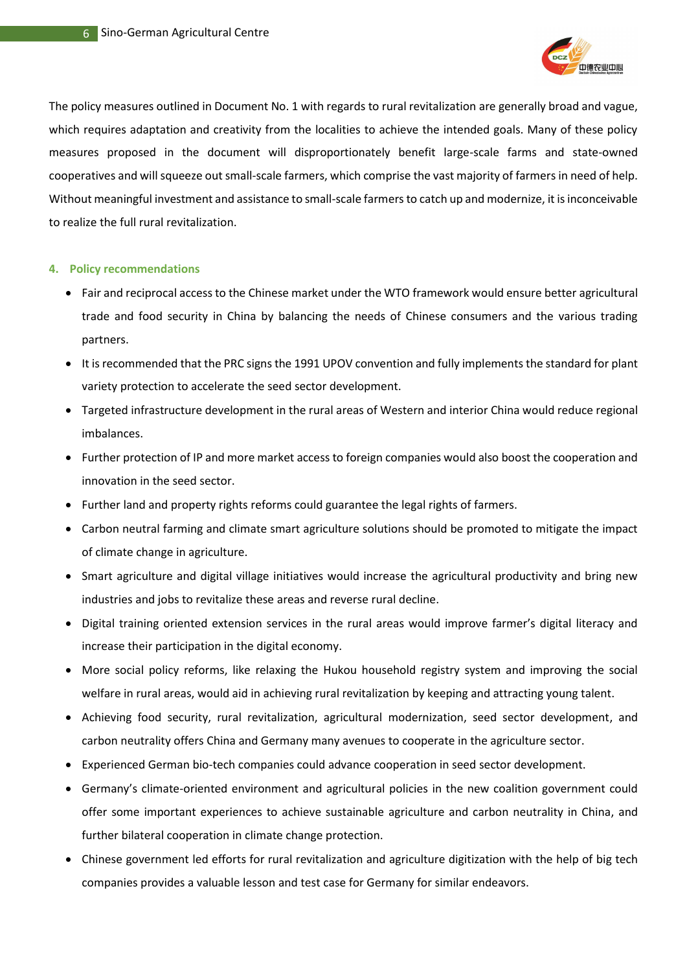

The policy measures outlined in Document No. 1 with regards to rural revitalization are generally broad and vague, which requires adaptation and creativity from the localities to achieve the intended goals. Many of these policy measures proposed in the document will disproportionately benefit large-scale farms and state-owned cooperatives and will squeeze out small-scale farmers, which comprise the vast majority of farmers in need of help. Without meaningful investment and assistance to small-scale farmers to catch up and modernize, it is inconceivable to realize the full rural revitalization.

#### **4. Policy recommendations**

- Fair and reciprocal access to the Chinese market under the WTO framework would ensure better agricultural trade and food security in China by balancing the needs of Chinese consumers and the various trading partners.
- It is recommended that the PRC signs the 1991 UPOV convention and fully implements the standard for plant variety protection to accelerate the seed sector development.
- Targeted infrastructure development in the rural areas of Western and interior China would reduce regional imbalances.
- Further protection of IP and more market access to foreign companies would also boost the cooperation and innovation in the seed sector.
- Further land and property rights reforms could guarantee the legal rights of farmers.
- Carbon neutral farming and climate smart agriculture solutions should be promoted to mitigate the impact of climate change in agriculture.
- Smart agriculture and digital village initiatives would increase the agricultural productivity and bring new industries and jobs to revitalize these areas and reverse rural decline.
- Digital training oriented extension services in the rural areas would improve farmer's digital literacy and increase their participation in the digital economy.
- More social policy reforms, like relaxing the Hukou household registry system and improving the social welfare in rural areas, would aid in achieving rural revitalization by keeping and attracting young talent.
- Achieving food security, rural revitalization, agricultural modernization, seed sector development, and carbon neutrality offers China and Germany many avenues to cooperate in the agriculture sector.
- Experienced German bio-tech companies could advance cooperation in seed sector development.
- Germany's climate-oriented environment and agricultural policies in the new coalition government could offer some important experiences to achieve sustainable agriculture and carbon neutrality in China, and further bilateral cooperation in climate change protection.
- Chinese government led efforts for rural revitalization and agriculture digitization with the help of big tech companies provides a valuable lesson and test case for Germany for similar endeavors.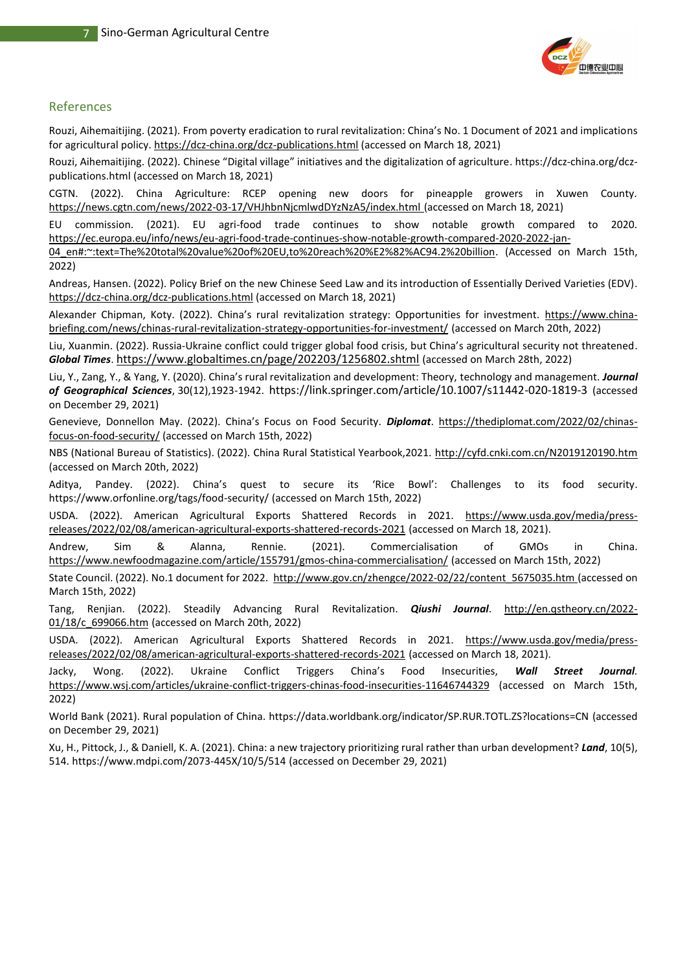

#### References

Rouzi, Aihemaitijing. (2021). From poverty eradication to rural revitalization: China's No. 1 Document of 2021 and implications for agricultural policy[. https://dcz-china.org/dcz-publications.html](https://dcz-china.org/dcz-publications.html) (accessed on March 18, 2021)

Rouzi, Aihemaitijing. (2022). Chinese "Digital village" initiatives and the digitalization of agriculture[. https://dcz-china.org/dcz](https://dcz-china.org/dcz-publications.html)[publications.html](https://dcz-china.org/dcz-publications.html) (accessed on March 18, 2021)

CGTN. (2022). China Agriculture: RCEP opening new doors for pineapple growers in Xuwen County. <https://news.cgtn.com/news/2022-03-17/VHJhbnNjcmlwdDYzNzA5/index.html> (accessed on March 18, 2021)

EU commission. (2021). EU agri-food trade continues to show notable growth compared to 2020. [https://ec.europa.eu/info/news/eu-agri-food-trade-continues-show-notable-growth-compared-2020-2022-jan-](https://ec.europa.eu/info/news/eu-agri-food-trade-continues-show-notable-growth-compared-2020-2022-jan-04_en#:~:text=The%20total%20value%20of%20EU,to%20reach%20%E2%82%AC94.2%20billion)

[04\\_en#:~:text=The%20total%20value%20of%20EU,to%20reach%20%E2%82%AC94.2%20billion.](https://ec.europa.eu/info/news/eu-agri-food-trade-continues-show-notable-growth-compared-2020-2022-jan-04_en#:~:text=The%20total%20value%20of%20EU,to%20reach%20%E2%82%AC94.2%20billion) (Accessed on March 15th, 2022)

Andreas, Hansen. (2022). Policy Brief on the new Chinese Seed Law and its introduction of Essentially Derived Varieties (EDV). <https://dcz-china.org/dcz-publications.html> (accessed on March 18, 2021)

Alexander Chipman, Koty. (2022). China's rural revitalization strategy: Opportunities for investment. [https://www.china](https://www.china-briefing.com/news/chinas-rural-revitalization-strategy-opportunities-for-investment/)[briefing.com/news/chinas-rural-revitalization-strategy-opportunities-for-investment/](https://www.china-briefing.com/news/chinas-rural-revitalization-strategy-opportunities-for-investment/) (accessed on March 20th, 2022)

Liu, Xuanmin. (2022). Russia-Ukraine conflict could trigger global food crisis, but China's agricultural security not threatened. *Global Times*. <https://www.globaltimes.cn/page/202203/1256802.shtml> (accessed on March 28th, 2022)

Liu, Y., Zang, Y., & Yang, Y. (2020). China's rural revitalization and development: Theory, technology and management. *Journal of Geographical Sciences*, 30(12),1923-1942. <https://link.springer.com/article/10.1007/s11442-020-1819-3> (accessed on December 29, 2021)

Genevieve, Donnellon May. (2022). China's Focus on Food Security. *Diplomat*. [https://thediplomat.com/2022/02/chinas](https://thediplomat.com/2022/02/chinas-focus-on-food-security/)[focus-on-food-security/](https://thediplomat.com/2022/02/chinas-focus-on-food-security/) (accessed on March 15th, 2022)

NBS (National Bureau of Statistics). (2022). China Rural Statistical Yearbook,2021.<http://cyfd.cnki.com.cn/N2019120190.htm> (accessed on March 20th, 2022)

Aditya, Pandey. (2022). China's quest to secure its 'Rice Bowl': Challenges to its food security. https://www.orfonline.org/tags/food-security/ (accessed on March 15th, 2022)

USDA. (2022). American Agricultural Exports Shattered Records in 2021. [https://www.usda.gov/media/press](https://www.usda.gov/media/press-releases/2022/02/08/american-agricultural-exports-shattered-records-2021)[releases/2022/02/08/american-agricultural-exports-shattered-records-2021](https://www.usda.gov/media/press-releases/2022/02/08/american-agricultural-exports-shattered-records-2021) (accessed on March 18, 2021).

Andrew, Sim & Alanna, Rennie. (2021). Commercialisation of GMOs in China. <https://www.newfoodmagazine.com/article/155791/gmos-china-commercialisation/> (accessed on March 15th, 2022)

State Council. (2022). No.1 document for 2022. [http://www.gov.cn/zhengce/2022-02/22/content\\_5675035.htm](http://www.gov.cn/zhengce/2022-02/22/content_5675035.htm) (accessed on March 15th, 2022)

Tang, Renjian. (2022). Steadily Advancing Rural Revitalization. *Qiushi Journal*. [http://en.qstheory.cn/2022-](http://en.qstheory.cn/2022-01/18/c_699066.htm) [01/18/c\\_699066.htm](http://en.qstheory.cn/2022-01/18/c_699066.htm) (accessed on March 20th, 2022)

USDA. (2022). American Agricultural Exports Shattered Records in 2021. [https://www.usda.gov/media/press](https://www.usda.gov/media/press-releases/2022/02/08/american-agricultural-exports-shattered-records-2021)[releases/2022/02/08/american-agricultural-exports-shattered-records-2021](https://www.usda.gov/media/press-releases/2022/02/08/american-agricultural-exports-shattered-records-2021) (accessed on March 18, 2021).

Jacky, Wong. (2022). Ukraine Conflict Triggers China's Food Insecurities, *Wall Street Journal.*  <https://www.wsj.com/articles/ukraine-conflict-triggers-chinas-food-insecurities-11646744329> (accessed on March 15th, 2022)

World Bank (2021). Rural population of China.<https://data.worldbank.org/indicator/SP.RUR.TOTL.ZS?locations=CN> (accessed on December 29, 2021)

Xu, H., Pittock, J., & Daniell, K. A. (2021). China: a new trajectory prioritizing rural rather than urban development? *Land*, 10(5), 514[. https://www.mdpi.com/2073-445X/10/5/514](https://www.mdpi.com/2073-445X/10/5/514) (accessed on December 29, 2021)